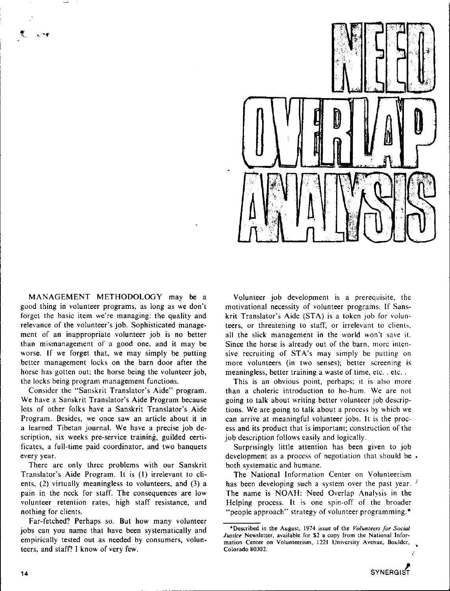

MANAGEMENT METHODOLOGY may be a good thing in volunteer programs, as long as we don't forget the basic item we're managing: the quality and relevance of the volunteer's job. Sophisticated management of an inappropriate volunteer job is no better than mismanagement of a good one, and it may be worse. If we forget that, we may simply be putting better management locks on the barn door after the horse has gotten out; the horse being the volunteer job, **the locks being program management functions.** 

Consider the "Sanskrit Translator's Aide" program. We have a Sanskrit Translator's Aide Program because lots of other folks have a Sanskrit Translator's Aide **Program. Besides. we once saw an article about it in**  a learned Tibetan journal. We have a precise job de**scription, six weeks pre-service training, guilded certi**ficates, a full-time paid coordinator, and two banquets **every year.** 

There are only three problems with our Sanskrit Translator's Aide Program. It is (I) irrelevant to clients, (2) virtually meaningless to volunteers, and (3) a pain in the neck for staff. The consequences are low **volunteer retention rates, high staff resistance, and**  nothing for clients.

Far-fetched? Perhaps so. But how many volunteer jobs can you name that have been systematically and empirically tested out as needed by consumers, volunteers, and staff'? I know of very few.

Volunteer job development is a prerequisite, the **motivational necessity of volunteer programs. If Sans**krit Translator's Aide (STA) is a token job for volun**teers, or threatening to staff, or irrelevant to clients,**  all the slick management in the world won't save it. **Since the horse is already out of the barn. more inten**sive recruiting of STA's may simply be putting on more volunteers (in two senses); better screening is **meaningless, better training a waste of time, etc. . etc. .** 

**This is an obvious point, perhaps; it is also more than a choleric introduction to ho-hum. We are not**  going to talk about writing better volunteer job descriptions. We are going to talk about a process by which we **can arrive at meaningful volunteer jobs. It is the process and its product that is important; construction of the**  job description follows easily and logically.

Surprisingly little attention has been given to job **development as a process of negotiation that should be**  both systematic and humane.

**The National Information Center on Volunteerism**  has been developing such a system over the past year.  $\frac{3}{2}$ The name is NOAH: Need Overlap Analysis in the Helping process. It is one spin-off of the broader "people approach" strategy of volunteer programming.\*

**<sup>\*</sup>Described in the August, 1974 issue of the** *Volunteers for Social Justice* **Newsletter, available for \$2 a copy from the National Information Center on Volunteerism, 1221 University Avenue, Boulder, Colorado 80302.**  ż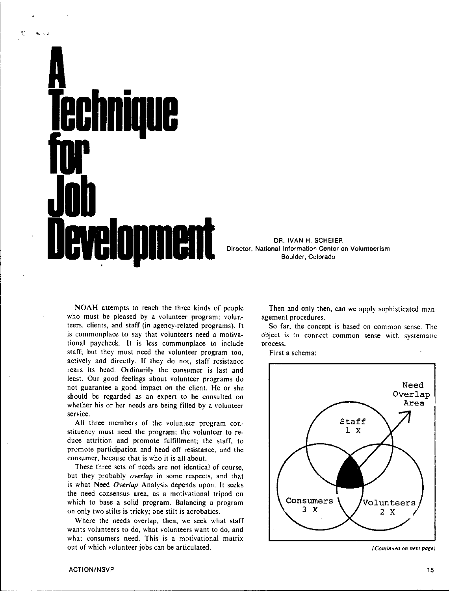# **A Technique for for Job levelonment**

DR. IVAN H. SCHEIER<br>Director, National Information Center on Volunteerism Boulder, Colorado

**NOAH** attempts to reach the three kinds of people who must be pleased by a volunteer program: volunteers, clients, and staff (in agency-related programs). It is commonplace to say that volunteers need a motivational paycheck. It is less commonplace to include staff; but they must need the volunteer program too, actively and directly. If they do not, staff resistance rears its head. Ordinarily the consumer is last and least. Our good feelings about volunteer programs do not guarantee a good impact on the client. He or she should *be* regarded as an expert to be consulted on whether his or her needs are being filled by a volunteer service.

All three members of the volunteer program constituency must need the program; the volunteer to reduce attrition and promote fulfillment; the staff, to promote participation and head off resistance, and the consumer, because that is who it is all about.

These three sets of needs are not identical of course, but they probably *overlap* in some respects, and that is what Need *Overlap* Analysis depends upon. It seeks the need consensus area, as a motivational tripod on which to base a solid program. Balancing a program on only two stilts is tricky; one stilt is acrobatics.

Where the needs overlap, then, we seek what staff wants volunteers to do, what volunteers want to do, and what consumers need. This is a motivational matrix out of which volunteer jobs can be articulated.

Then and only then, can **we** apply sophisticated management procedures.

So far, the concept is based on common sense. The object is to connect common sense with systematic process.

First a schema:



*(Continued on next page)*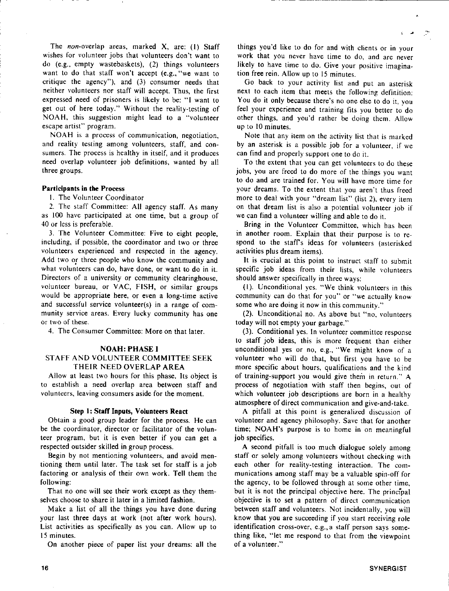The non-overlap areas, marked **X,** are: (I) Staff wishes for volunteer jobs that volunteers don't want to do (e.g., empty wastebaskets), (2) things volunteers want to do that staff won't accept  $(e.g., "we want to")$ critique the agency"), and (3) consumer needs that neither volunteers nor staff will accept Thus, the first expressed need of prisoners is likely to be: "I want to get out of here today." Without the reality-testing of NOAH, this suggestion might lead to a "volunteer escape artist" program.

NOAH is a process of communication, negotiation, and reality testing among volunteers, staff, and consumers. The process is healthy in itself, and it produces need overlap volunteer job definitions, wanted by all three groups.

## **Participants in the** Process

I. The Volunteer Coordinator

2. The staff Committee: All agency staff. As many as 100 have participated at one time, but a group of 40 or less is preferable.

3. The Volunteer Committee: Five to eight people, including, if possible, the coordinator and two or three volunteers experienced and respected in the agency. Add two or three people who know the community and what volunteers can do, have done, or want to do in it. Directors of a university or community clearinghouse, volunteer bureau, or VAC, FISH, or similar groups would be appropriate here, or even a long-time active and successful service volunteer(s) in a range of community service areas. Every lucky community has one or two of these.

4. The Consumer Committee: More on that later.

#### **NOAH: PHASE** I

# STAFF AND VOLUNTEER COMMITTEE SEEK THEIR NEED OVERLAP AREA

Allow at least two hours for this phase. Its object is to establish a need overlap area between staff and volunteers, leaving consumers aside for the moment.

#### **Step** I: **Stall Inputs, Volunteers React**

Obtain a good group leader for the process. He can be the coordinator, director or facilitator of the volunteer program, but it is even better if you can get a respected outsider skilled in group process.

Begin by not mentioning volunteers, and avoid mentioning them until later. The task set for staff is a job factoring or analysis of their own work. Tell them the following:

That no one will see their work except as they themselves choose to share it later in a limited fashion.

Make a list of all the things you have done during your last three days at work (not after work hours). List activities as specifically as you can. Allow up to 15 minutes.

On another piece of paper list your dreams: all the

things you'd like to do for and with clients or in your work that you never have time to do, and are never likely to have time to do. Give your positive imagination free rein. Allow up to 15 minutes.

Go back to your activity list and put an asterisk next to each item that meets the following definition: You do it only because there's no one else to do it. vou feel your experience and training fits you better to do other things, and you'd rather be doing them. Allow up to 10 minutes.

Note that any item on the activity list that is marked by an asterisk is a possible job for a volunteer, if we can find and properly support one to do it.

To the extent that you can get volunteers to do these jobs, you are freed to do more of the things you want to do and are trained for. You will have more time for your dreams. To the extent that you aren't thus freed more to deal with your "dream list" (list 2), every item on that dream list is also a potential volunteer job if we can find a volunteer willing and able to do it.

Bring in the Volunteer Committee, which has been in another room. Explain that their purpose is to respond to the staffs ideas for volunteers (asterisked activities plus dream items).

It is crucial at this point to instruct staff to submit specific job ideas from their lists, while volunteers should answer specifically in three ways:

(l). Unconditional yes. "We think volunteers in this community can do that for you" or "we actually know some who are doing it now in this community."

(2). Unconditional no. As above but "no, volunteers today will not empty your garbage."

(3). Conditional yes. In volunteer committee response to staff job ideas, this is more frequent than either unconditional yes or no, e.g., "We might know of a volunteer who will do that, but first you have to be more specific about hours, qualifications and the kind of training-support you would give them in return." A process of negotiation with staff then begins, out of which volunteer job descriptions are born in a healthy atmosphere of direct communication and give-and-take.

A pitfall at this point is generalized discussion of volunteer and agency philosophy. Save that for another time; NOAH's purpose is to home in on meaningful job specifics.

A second pitfall is too much dialogue solely among staff or solely among volunteers without checking with each other for reality-testing interaction. The communications among staff may be a valuable spin-off for the agency, to be followed through at some other time, but it is not the principal objective here. The principal objective is to set a pattern of direct communication between staff and volunteers. Not incidentally, you will know that you are succeeding if you start receiving role identification cross-over, e.g., a staff person says something like, "let me respond to that from the viewpoint of a volunteer."